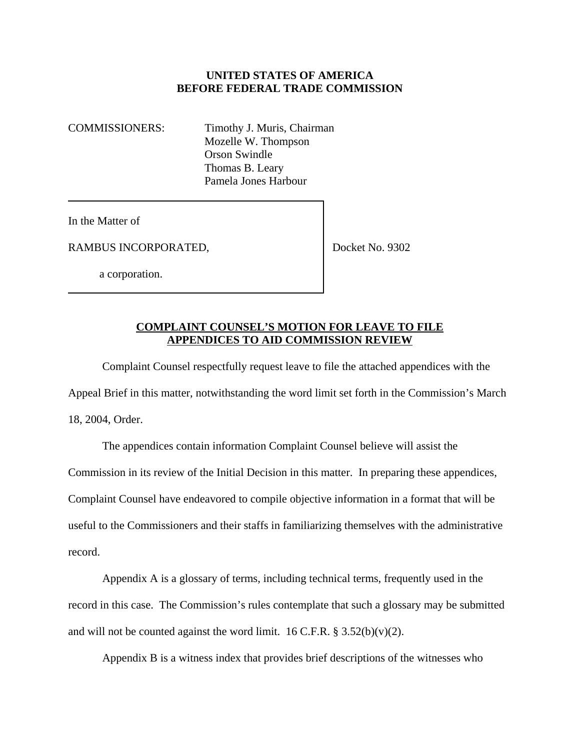## **UNITED STATES OF AMERICA BEFORE FEDERAL TRADE COMMISSION**

COMMISSIONERS: Timothy J. Muris, Chairman Mozelle W. Thompson Orson Swindle Thomas B. Leary Pamela Jones Harbour

In the Matter of

RAMBUS INCORPORATED,

Docket No. 9302

a corporation.

## **COMPLAINT COUNSEL'S MOTION FOR LEAVE TO FILE APPENDICES TO AID COMMISSION REVIEW**

Complaint Counsel respectfully request leave to file the attached appendices with the Appeal Brief in this matter, notwithstanding the word limit set forth in the Commission's March 18, 2004, Order.

The appendices contain information Complaint Counsel believe will assist the Commission in its review of the Initial Decision in this matter. In preparing these appendices, Complaint Counsel have endeavored to compile objective information in a format that will be useful to the Commissioners and their staffs in familiarizing themselves with the administrative record.

Appendix A is a glossary of terms, including technical terms, frequently used in the record in this case. The Commission's rules contemplate that such a glossary may be submitted and will not be counted against the word limit.  $16$  C.F.R. § 3.52(b)(v)(2).

Appendix B is a witness index that provides brief descriptions of the witnesses who